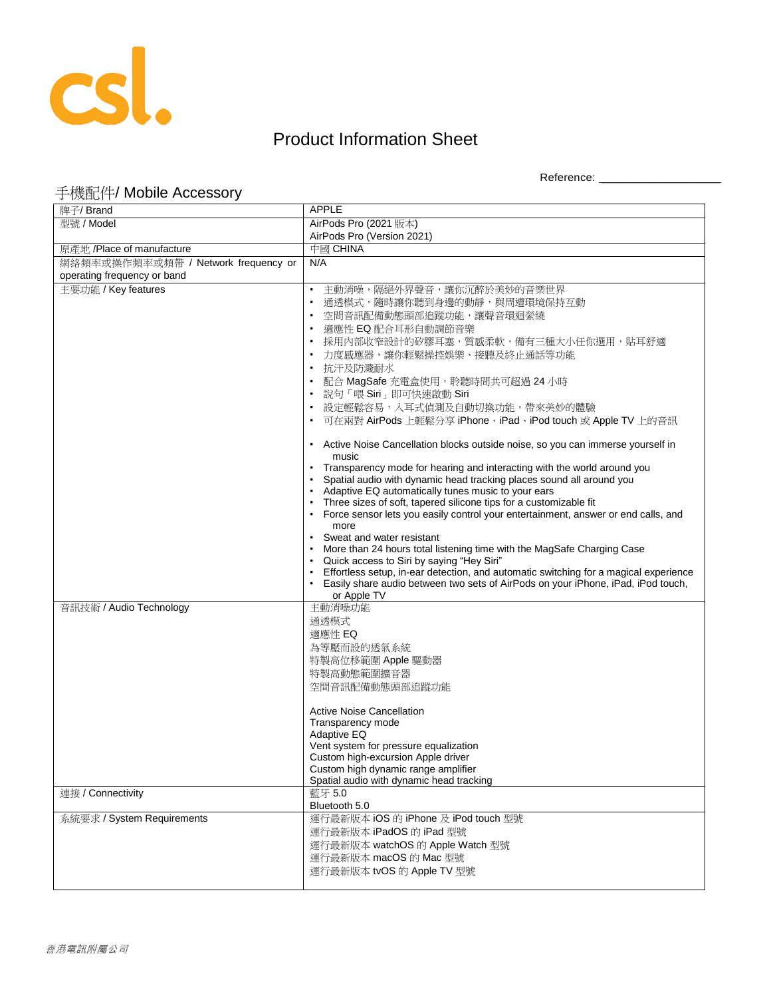

## Product Information Sheet

Reference: \_\_\_\_\_\_\_\_\_\_\_\_\_\_\_\_\_\_\_\_

## 手機配件/ Mobile Accessory

| 牌子/ Brand                           | <b>APPLE</b>                                                                              |
|-------------------------------------|-------------------------------------------------------------------------------------------|
| 型號 / Model                          | AirPods Pro (2021 版本)                                                                     |
|                                     | AirPods Pro (Version 2021)                                                                |
| 原產地 /Place of manufacture           | 中國 CHINA                                                                                  |
| 網絡頻率或操作頻率或頻帶 / Network frequency or | N/A                                                                                       |
| operating frequency or band         |                                                                                           |
| 主要功能 / Key features                 | 主動消噪,隔絕外界聲音,讓你沉醉於美妙的音樂世界                                                                  |
|                                     | 通透模式,隨時讓你聽到身邊的動靜,與周遭環境保持互動                                                                |
|                                     | 空間音訊配備動態頭部追蹤功能,讓聲音環迴縈繞                                                                    |
|                                     | 適應性 EQ 配合耳形自動調節音樂<br>$\bullet$                                                            |
|                                     | 採用內部收窄設計的矽膠耳塞,質感柔軟,備有三種大小任你選用,貼耳舒適<br>$\bullet$                                           |
|                                     | 力度感應器,讓你輕鬆操控娛樂、接聽及終止通話等功能                                                                 |
|                                     | 抗汗及防濺耐水                                                                                   |
|                                     | 配合 MagSafe 充電盒使用, 聆聽時間共可超過 24 小時                                                          |
|                                     | 說句「喂 Siri」即可快速啟動 Siri                                                                     |
|                                     | 設定輕鬆容易,入耳式偵測及自動切換功能,帶來美妙的體驗                                                               |
|                                     | 可在兩對 AirPods 上輕鬆分享 iPhone、iPad、iPod touch 或 Apple TV 上的音訊                                 |
|                                     | • Active Noise Cancellation blocks outside noise, so you can immerse yourself in          |
|                                     | music                                                                                     |
|                                     | Transparency mode for hearing and interacting with the world around you                   |
|                                     | Spatial audio with dynamic head tracking places sound all around you                      |
|                                     | Adaptive EQ automatically tunes music to your ears                                        |
|                                     | Three sizes of soft, tapered silicone tips for a customizable fit                         |
|                                     | Force sensor lets you easily control your entertainment, answer or end calls, and<br>more |
|                                     | Sweat and water resistant                                                                 |
|                                     | More than 24 hours total listening time with the MagSafe Charging Case                    |
|                                     | Quick access to Siri by saying "Hey Siri"                                                 |
|                                     | Effortless setup, in-ear detection, and automatic switching for a magical experience      |
|                                     | Easily share audio between two sets of AirPods on your iPhone, iPad, iPod touch,          |
| 音訊技術 / Audio Technology             | or Apple TV<br>主動消噪功能                                                                     |
|                                     | 通透模式                                                                                      |
|                                     | 適應性 EQ                                                                                    |
|                                     | 為等壓而設的透氣系統                                                                                |
|                                     | 特製高位移範圍 Apple 驅動器                                                                         |
|                                     | 特製高動態範圍擴音器                                                                                |
|                                     | 空間音訊配備動態頭部追蹤功能                                                                            |
|                                     |                                                                                           |
|                                     | <b>Active Noise Cancellation</b>                                                          |
|                                     | Transparency mode                                                                         |
|                                     | Adaptive EQ                                                                               |
|                                     | Vent system for pressure equalization<br>Custom high-excursion Apple driver               |
|                                     | Custom high dynamic range amplifier                                                       |
|                                     | Spatial audio with dynamic head tracking                                                  |
| 連接 / Connectivity                   | 藍牙 5.0                                                                                    |
|                                     | Bluetooth 5.0                                                                             |
| 系統要求 / System Requirements          | 運行最新版本 iOS 的 iPhone 及 iPod touch 型號                                                       |
|                                     | 運行最新版本 iPadOS 的 iPad 型號                                                                   |
|                                     | 運行最新版本 watchOS 的 Apple Watch 型號                                                           |
|                                     | 運行最新版本 macOS 的 Mac 型號                                                                     |
|                                     | 運行最新版本 tvOS 的 Apple TV 型號                                                                 |
|                                     |                                                                                           |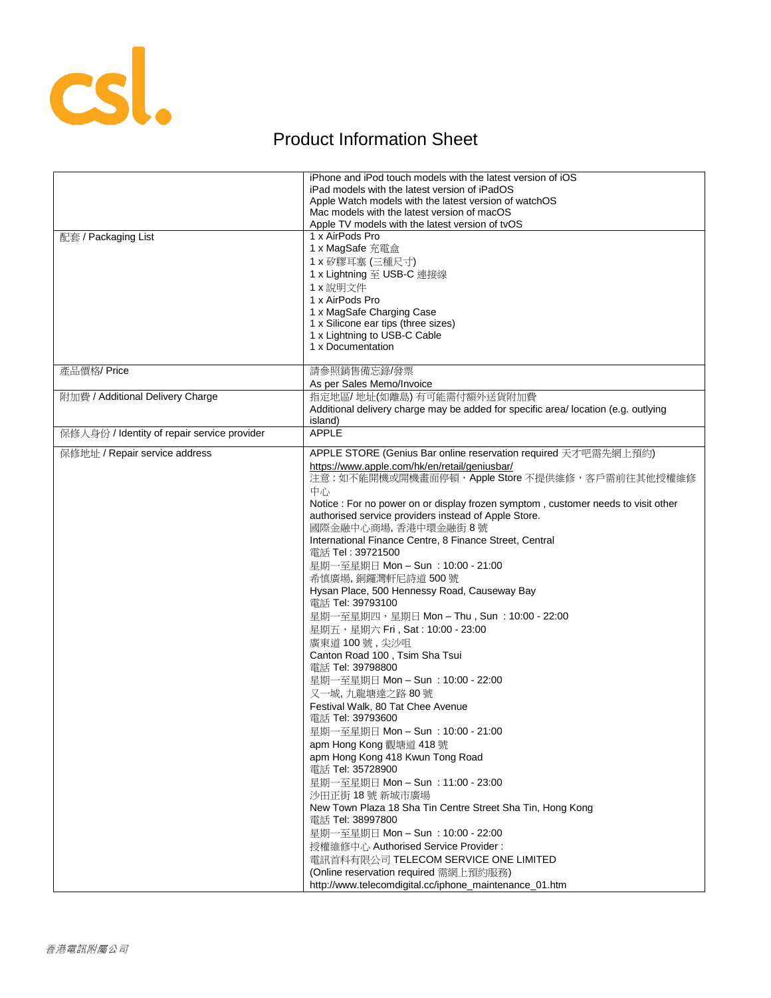

## Product Information Sheet

|                                             | iPhone and iPod touch models with the latest version of iOS<br>iPad models with the latest version of iPadOS |
|---------------------------------------------|--------------------------------------------------------------------------------------------------------------|
|                                             | Apple Watch models with the latest version of watchOS                                                        |
|                                             | Mac models with the latest version of macOS                                                                  |
|                                             | Apple TV models with the latest version of tvOS                                                              |
| 配套 / Packaging List                         | 1 x AirPods Pro                                                                                              |
|                                             | 1 x MagSafe 充電盒                                                                                              |
|                                             | 1 x 矽膠耳塞 (三種尺寸)                                                                                              |
|                                             | 1 x Lightning 至 USB-C 連接線                                                                                    |
|                                             | 1 x 說明文件                                                                                                     |
|                                             | 1 x AirPods Pro                                                                                              |
|                                             | 1 x MagSafe Charging Case                                                                                    |
|                                             | 1 x Silicone ear tips (three sizes)                                                                          |
|                                             | 1 x Lightning to USB-C Cable<br>1 x Documentation                                                            |
|                                             |                                                                                                              |
| 產品價格/Price                                  | 請參照銷售備忘錄/發票                                                                                                  |
|                                             | As per Sales Memo/Invoice                                                                                    |
| 附加費 / Additional Delivery Charge            | 指定地區/地址(如離島)有可能需付額外送貨附加費                                                                                     |
|                                             | Additional delivery charge may be added for specific area/location (e.g. outlying                            |
|                                             | island)                                                                                                      |
| 保修人身份 / Identity of repair service provider | <b>APPLE</b>                                                                                                 |
| 保修地址 / Repair service address               | APPLE STORE (Genius Bar online reservation required 天才吧需先網上預約)                                               |
|                                             | https://www.apple.com/hk/en/retail/geniusbar/                                                                |
|                                             | 注意:如不能開機或開機畫面停頓,Apple Store 不提供維修,客戶需前往其他授權維修                                                                |
|                                             | 中心                                                                                                           |
|                                             | Notice : For no power on or display frozen symptom, customer needs to visit other                            |
|                                             | authorised service providers instead of Apple Store.                                                         |
|                                             | 國際金融中心商場, 香港中環金融街 8號                                                                                         |
|                                             | International Finance Centre, 8 Finance Street, Central<br>電話 Tel: 39721500                                  |
|                                             |                                                                                                              |
|                                             | 星期一至星期日 Mon - Sun : 10:00 - 21:00                                                                            |
|                                             | 希慎廣場, 銅鑼灣軒尼詩道 500號                                                                                           |
|                                             | Hysan Place, 500 Hennessy Road, Causeway Bay<br>電話 Tel: 39793100                                             |
|                                             | 星期一至星期四,星期日 Mon – Thu , Sun : 10:00 - 22:00                                                                  |
|                                             | 星期五,星期六 Fri, Sat: 10:00 - 23:00                                                                              |
|                                             | 廣東道100號,尖沙咀                                                                                                  |
|                                             | Canton Road 100, Tsim Sha Tsui                                                                               |
|                                             | 電話 Tel: 39798800                                                                                             |
|                                             | 星期一至星期日 Mon - Sun : 10:00 - 22:00                                                                            |
|                                             | 又一城,九龍塘達之路 80號                                                                                               |
|                                             | Festival Walk, 80 Tat Chee Avenue                                                                            |
|                                             | 電話 Tel: 39793600                                                                                             |
|                                             | 星期一至星期日 Mon - Sun : 10:00 - 21:00                                                                            |
|                                             | apm Hong Kong 觀塘道 418 號                                                                                      |
|                                             | apm Hong Kong 418 Kwun Tong Road                                                                             |
|                                             | 電話 Tel: 35728900                                                                                             |
|                                             | 星期一至星期日 Mon - Sun : 11:00 - 23:00                                                                            |
|                                             | 沙田正街 18號 新城市廣場                                                                                               |
|                                             | New Town Plaza 18 Sha Tin Centre Street Sha Tin, Hong Kong<br>電話 Tel: 38997800                               |
|                                             | 星期一至星期日 Mon - Sun: 10:00 - 22:00                                                                             |
|                                             | 授權維修中心 Authorised Service Provider:                                                                          |
|                                             | 電訊首科有限公司 TELECOM SERVICE ONE LIMITED                                                                         |
|                                             | (Online reservation required 需網上預約服務)                                                                        |
|                                             | http://www.telecomdigital.cc/iphone_maintenance_01.htm                                                       |